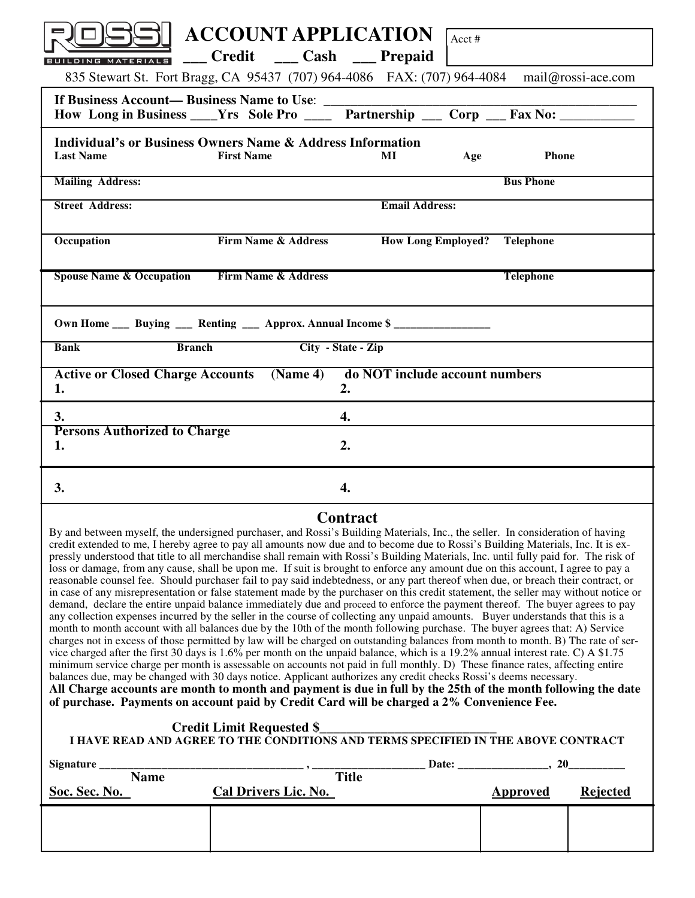| <b>ACCOUNT APPLICATION</b>                                                                                     | Acct #                                  |  |  |  |
|----------------------------------------------------------------------------------------------------------------|-----------------------------------------|--|--|--|
| ___ Credit ___ Cash ___ Prepaid<br>BUILDING MATERIALS                                                          |                                         |  |  |  |
| 835 Stewart St. Fort Bragg, CA 95437 (707) 964-4086 FAX: (707) 964-4084 mail@rossi-ace.com                     |                                         |  |  |  |
|                                                                                                                |                                         |  |  |  |
| <b>Individual's or Business Owners Name &amp; Address Information</b><br><b>Last Name</b><br><b>First Name</b> | <b>Phone</b><br>MI<br>Age               |  |  |  |
| <b>Mailing Address:</b>                                                                                        | <b>Bus Phone</b>                        |  |  |  |
| <b>Street Address:</b>                                                                                         | <b>Email Address:</b>                   |  |  |  |
| <b>Firm Name &amp; Address</b><br>Occupation                                                                   | <b>How Long Employed?</b> Telephone     |  |  |  |
| <b>Spouse Name &amp; Occupation Firm Name &amp; Address</b>                                                    | <b>Telephone</b>                        |  |  |  |
| Own Home ___ Buying ___ Renting ___ Approx. Annual Income \$ ______________                                    |                                         |  |  |  |
| <b>Branch</b><br>City - State - Zip<br><b>Bank</b>                                                             |                                         |  |  |  |
| <b>Active or Closed Charge Accounts</b><br>1.<br>2.                                                            | (Name 4) do NOT include account numbers |  |  |  |
| 3.<br>4.                                                                                                       |                                         |  |  |  |
| <b>Persons Authorized to Charge</b><br>2.<br>1.                                                                |                                         |  |  |  |
| 3.<br>4.                                                                                                       |                                         |  |  |  |

## **Contract**

By and between myself, the undersigned purchaser, and Rossi's Building Materials, Inc., the seller. In consideration of having credit extended to me, I hereby agree to pay all amounts now due and to become due to Rossi's Building Materials, Inc. It is expressly understood that title to all merchandise shall remain with Rossi's Building Materials, Inc. until fully paid for. The risk of loss or damage, from any cause, shall be upon me. If suit is brought to enforce any amount due on this account, I agree to pay a reasonable counsel fee. Should purchaser fail to pay said indebtedness, or any part thereof when due, or breach their contract, or in case of any misrepresentation or false statement made by the purchaser on this credit statement, the seller may without notice or demand, declare the entire unpaid balance immediately due and proceed to enforce the payment thereof. The buyer agrees to pay any collection expenses incurred by the seller in the course of collecting any unpaid amounts. Buyer understands that this is a month to month account with all balances due by the 10th of the month following purchase. The buyer agrees that: A) Service charges not in excess of those permitted by law will be charged on outstanding balances from month to month. B) The rate of service charged after the first 30 days is 1.6% per month on the unpaid balance, which is a 19.2% annual interest rate. C) A \$1.75 minimum service charge per month is assessable on accounts not paid in full monthly. D) These finance rates, affecting entire balances due, may be changed with 30 days notice. Applicant authorizes any credit checks Rossi's deems necessary. **All Charge accounts are month to month and payment is due in full by the 25th of the month following the date of purchase. Payments on account paid by Credit Card will be charged a 2% Convenience Fee.**

## **Credit Limit Requested \$\_\_\_\_\_\_\_\_\_\_\_\_\_\_\_\_\_\_\_\_\_\_\_\_\_\_**

## **I HAVE READ AND AGREE TO THE CONDITIONS AND TERMS SPECIFIED IN THE ABOVE CONTRACT**

| Signature     |                      | Date:        | 20              |                 |
|---------------|----------------------|--------------|-----------------|-----------------|
| <b>Name</b>   |                      | <b>Title</b> |                 |                 |
| Soc. Sec. No. | Cal Drivers Lic. No. |              | <b>Approved</b> | <b>Rejected</b> |
|               |                      |              |                 |                 |
|               |                      |              |                 |                 |
|               |                      |              |                 |                 |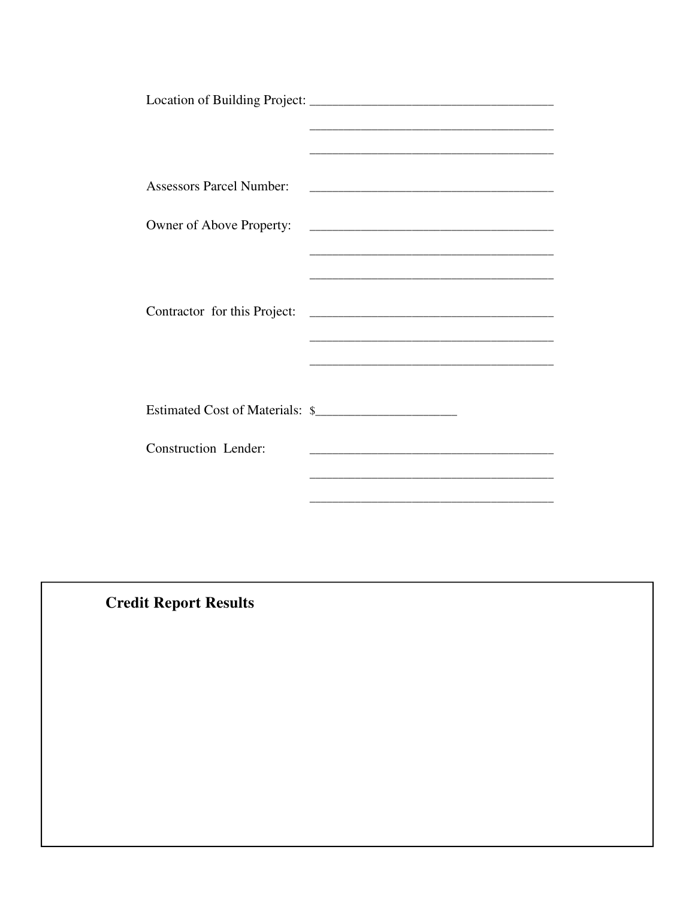| <b>Assessors Parcel Number:</b> | <u> 2002 - Jan James James Barnett, filozof amerikan dago eta gainera (h. 1878).</u>                                 |
|---------------------------------|----------------------------------------------------------------------------------------------------------------------|
|                                 |                                                                                                                      |
|                                 |                                                                                                                      |
| Owner of Above Property:        |                                                                                                                      |
|                                 |                                                                                                                      |
|                                 |                                                                                                                      |
|                                 |                                                                                                                      |
|                                 |                                                                                                                      |
|                                 |                                                                                                                      |
|                                 |                                                                                                                      |
|                                 |                                                                                                                      |
|                                 |                                                                                                                      |
|                                 |                                                                                                                      |
|                                 |                                                                                                                      |
| Estimated Cost of Materials: \$ |                                                                                                                      |
|                                 |                                                                                                                      |
| Construction Lender:            |                                                                                                                      |
|                                 | <u> 1980 - Jan James James Barnett, martin de la propincia de la propincia de la propincia de la propincia de la</u> |
|                                 |                                                                                                                      |
|                                 |                                                                                                                      |
|                                 |                                                                                                                      |

**Credit Report Results**